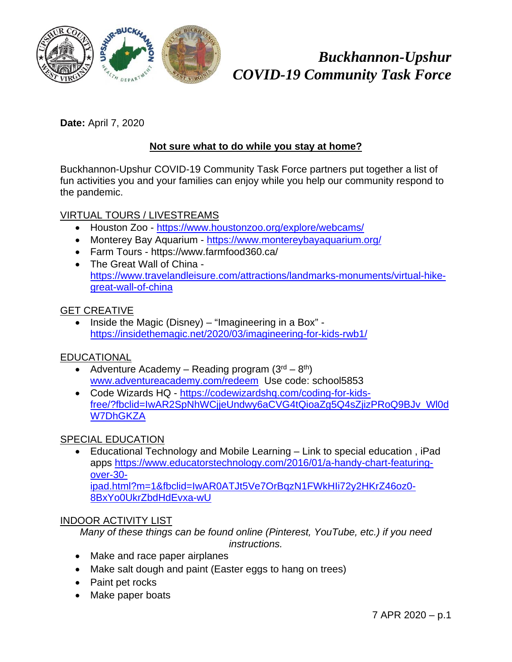

# *Buckhannon-Upshur COVID-19 Community Task Force*

**Date:** April 7, 2020

### **Not sure what to do while you stay at home?**

Buckhannon-Upshur COVID-19 Community Task Force partners put together a list of fun activities you and your families can enjoy while you help our community respond to the pandemic.

#### VIRTUAL TOURS / LIVESTREAMS

- Houston Zoo https://www.houstonzoo.org/explore/webcams/
- Monterey Bay Aquarium https://www.montereybayaquarium.org/
- Farm Tours https://www.farmfood360.ca/
- The Great Wall of China https://www.travelandleisure.com/attractions/landmarks-monuments/virtual-hikegreat-wall-of-china

#### GET CREATIVE

 $\bullet$  Inside the Magic (Disney) – "Imagineering in a Box" https://insidethemagic.net/2020/03/imagineering-for-kids-rwb1/

### EDUCATIONAL

- Adventure Academy Reading program  $(3<sup>rd</sup> 8<sup>th</sup>)$ www.adventureacademy.com/redeem Use code: school5853
- Code Wizards HQ https://codewizardshq.com/coding-for-kidsfree/?fbclid=IwAR2SpNhWCjjeUndwy6aCVG4tQioaZg5Q4sZjizPRoQ9BJv\_Wl0d W7DhGKZA

### SPECIAL EDUCATION

 Educational Technology and Mobile Learning – Link to special education , iPad apps https://www.educatorstechnology.com/2016/01/a-handy-chart-featuringover-30 ipad.html?m=1&fbclid=IwAR0ATJt5Ve7OrBqzN1FWkHIi72y2HKrZ46oz0- 8BxYo0UkrZbdHdEvxa-wU

### INDOOR ACTIVITY LIST

*Many of these things can be found online (Pinterest, YouTube, etc.) if you need instructions.* 

- Make and race paper airplanes
- Make salt dough and paint (Easter eggs to hang on trees)
- Paint pet rocks
- Make paper boats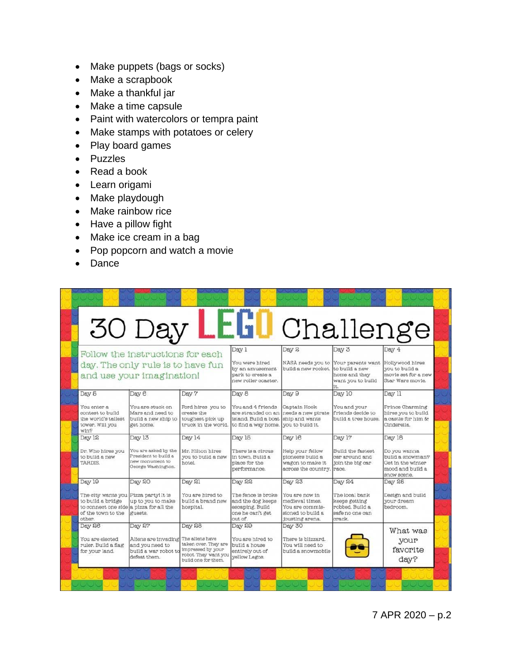- Make puppets (bags or socks)
- Make a scrapbook
- Make a thankful jar
- Make a time capsule
- Paint with watercolors or tempra paint
- Make stamps with potatoes or celery
- Play board games
- Puzzles
- Read a book
- Learn origami
- Make playdough
- Make rainbow rice
- Have a pillow fight
- Make ice cream in a bag
- Pop popcorn and watch a movie
- Dance

|                                                                                                                                                 | 30 Day LEGO Challenge                                                                           |                                                                                                                       |                                                                                                     |                                                                                                        |                                                                                           |                                                                                                    |
|-------------------------------------------------------------------------------------------------------------------------------------------------|-------------------------------------------------------------------------------------------------|-----------------------------------------------------------------------------------------------------------------------|-----------------------------------------------------------------------------------------------------|--------------------------------------------------------------------------------------------------------|-------------------------------------------------------------------------------------------|----------------------------------------------------------------------------------------------------|
| Follow the instructions for each<br>day. The only rule is to have fun<br>and use your imagination!                                              |                                                                                                 |                                                                                                                       | Day 1<br>You were hired<br>by an amusement<br>park to create a<br>new roller coaster.               | Day 2<br>NASA needs you to<br>build a new rocket.                                                      | Day 3<br>Your parents want<br>to build a new<br>home and they<br>want you to build<br>it. | Day 4<br>Hollywood hires<br>you to build a<br>movie set for a new<br>Star Wars movie.              |
| Day 5<br>You enter a<br>contest to build<br>the world's tallest<br>tower. Will you<br>win?                                                      | Day 8<br>You are stuck on<br>Mars and need to<br>build a new ship to<br>get home.               | Day 7<br>Ford hires you to<br>create the<br>toughest pick up<br>truck in the world.                                   | Day 8<br>You and 4 friends<br>are stranded on an<br>island. Build a boat<br>to find a way home.     | Day 9<br>Captain Hook<br>needs a new pirate<br>ship and wants<br>you to build it.                      | Day 10<br>You and your<br>friends decide to<br>build a tree house.                        | Day 11<br>Prince Charming<br>hires you to build<br>a castle for him &<br>Cinderella.               |
| Day 12<br>Dr. Who hires you<br>to build a new<br><b>TARDIS</b>                                                                                  | Day 13<br>You are asked by the<br>President to build a<br>new monument to<br>George Washington. | Day 14<br>Mr. Hilton hires<br>you to build a new<br>hotel.                                                            | Day 16<br>There is a circus<br>in town. Build a<br>place for the<br>performance.                    | Day 16<br>Help your fellow<br>pioneers build a<br>wagon to make it<br>across the country. race.        | Day 17<br>Build the fastest<br>car around and<br>join the big car                         | Day 18<br>Do you wanna<br>build a snowman?<br>Get in the winter<br>mood and build a<br>snow scene. |
| Day 19<br>The city wants you Pizza partyl It is<br>to build a bridge<br>to connect one side a pizza for all the<br>of the town to the<br>other. | Day 20<br>up to you to make<br>guests.                                                          | Day 21<br>You are hired to<br>build a brand new<br>hospital.                                                          | Day 22<br>The fence is broke<br>and the dog keeps<br>escaping. Build<br>one he can't get<br>out of. | Day 23<br>You are now in<br>medieval times.<br>You are commis-<br>sioned to build a<br>jousting arena. | Day 24<br>The local bank<br>keeps getting<br>robbed. Build a<br>safe no one can<br>crack. | Day 25<br>Design and build<br>vour dream<br>bedroom.                                               |
| Day 26<br>You are elected<br>ruler. Build a flag<br>for your land.                                                                              | Day 27<br>Aliens are invading<br>and you need to<br>build a war robot to<br>defeat them.        | Day 28<br>The aliens have<br>taken over. They are<br>impressed by your<br>robot. They want you<br>build one for them. | Day 29<br>You are hired to<br>build a house<br>entirely out of<br>yellow Legos.                     | Day 30<br>There is blizzard.<br>You will need to<br>build a snowmobile                                 |                                                                                           | What was<br>your<br>favorite<br>day?                                                               |